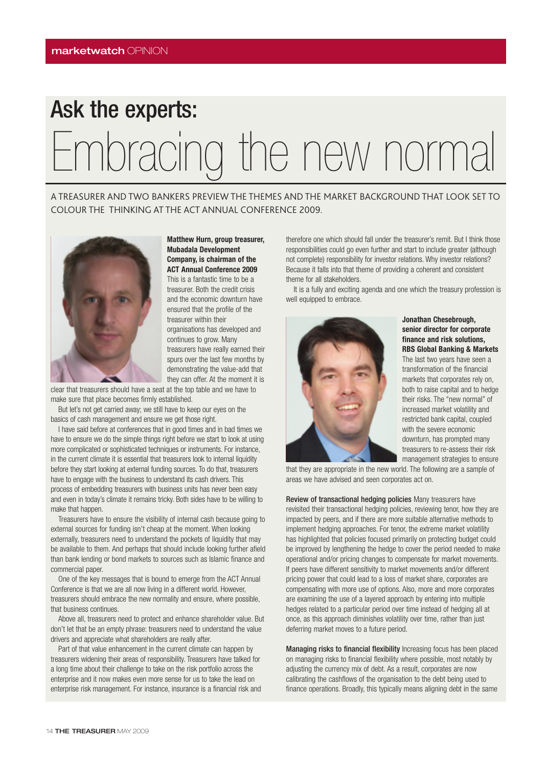## Ask the experts: Embracing the new normal

A TREASURER AND TWO BANKERS PREVIEW THE THEMES AND THE MARKET BACKGROUND THAT LOOK SET TO COLOUR THE THINKING AT THE ACT ANNUAL CONFERENCE 2009.



**Matthew Hurn, group treasurer, Mubadala Development Company, is chairman of the ACT Annual Conference 2009** This is a fantastic time to be a

treasurer. Both the credit crisis and the economic downturn have ensured that the profile of the treasurer within their organisations has developed and continues to grow. Many treasurers have really earned their spurs over the last few months by demonstrating the value-add that they can offer. At the moment it is

clear that treasurers should have a seat at the top table and we have to make sure that place becomes firmly established.

But let's not get carried away; we still have to keep our eyes on the basics of cash management and ensure we get those right.

I have said before at conferences that in good times and in bad times we have to ensure we do the simple things right before we start to look at using more complicated or sophisticated techniques or instruments. For instance, in the current climate it is essential that treasurers look to internal liquidity before they start looking at external funding sources. To do that, treasurers have to engage with the business to understand its cash drivers. This process of embedding treasurers with business units has never been easy and even in today's climate it remains tricky. Both sides have to be willing to make that happen.

Treasurers have to ensure the visibility of internal cash because going to external sources for funding isn't cheap at the moment. When looking externally, treasurers need to understand the pockets of liquidity that may be available to them. And perhaps that should include looking further afield than bank lending or bond markets to sources such as Islamic finance and commercial paper.

One of the key messages that is bound to emerge from the ACT Annual Conference is that we are all now living in a different world. However, treasurers should embrace the new normality and ensure, where possible, that business continues.

Above all, treasurers need to protect and enhance shareholder value. But don't let that be an empty phrase: treasurers need to understand the value drivers and appreciate what shareholders are really after.

Part of that value enhancement in the current climate can happen by treasurers widening their areas of responsibility. Treasurers have talked for a long time about their challenge to take on the risk portfolio across the enterprise and it now makes even more sense for us to take the lead on enterprise risk management. For instance, insurance is a financial risk and therefore one which should fall under the treasurer's remit. But I think those responsibilities could go even further and start to include greater (although not complete) responsibility for investor relations. Why investor relations? Because it falls into that theme of providing a coherent and consistent theme for all stakeholders.

It is a fully and exciting agenda and one which the treasury profession is well equipped to embrace.



## **Jonathan Chesebrough, senior director for corporate finance and risk solutions, RBS Global Banking & Markets**

The last two years have seen a transformation of the financial markets that corporates rely on, both to raise capital and to hedge their risks. The "new normal" of increased market volatility and restricted bank capital, coupled with the severe economic downturn, has prompted many treasurers to re-assess their risk management strategies to ensure

that they are appropriate in the new world. The following are a sample of areas we have advised and seen corporates act on.

Review of transactional hedging policies Many treasurers have revisited their transactional hedging policies, reviewing tenor, how they are impacted by peers, and if there are more suitable alternative methods to implement hedging approaches. For tenor, the extreme market volatility has highlighted that policies focused primarily on protecting budget could be improved by lengthening the hedge to cover the period needed to make operational and/or pricing changes to compensate for market movements. If peers have different sensitivity to market movements and/or different pricing power that could lead to a loss of market share, corporates are compensating with more use of options. Also, more and more corporates are examining the use of a layered approach by entering into multiple hedges related to a particular period over time instead of hedging all at once, as this approach diminishes volatility over time, rather than just deferring market moves to a future period.

Managing risks to financial flexibility Increasing focus has been placed on managing risks to financial flexibility where possible, most notably by adjusting the currency mix of debt. As a result, corporates are now calibrating the cashflows of the organisation to the debt being used to finance operations. Broadly, this typically means aligning debt in the same